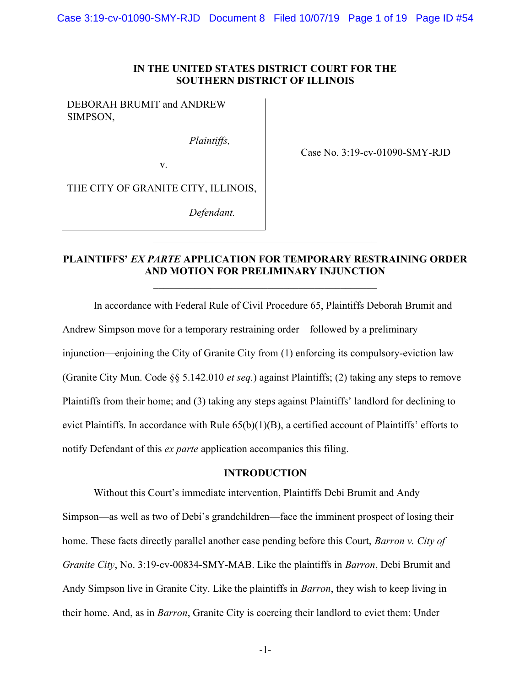Case 3:19-cv-01090-SMY-RJD Document 8 Filed 10/07/19 Page 1 of 19 Page ID #54

### IN THE UNITED STATES DISTRICT COURT FOR THE SOUTHERN DISTRICT OF ILLINOIS

DEBORAH BRUMIT and ANDREW SIMPSON,

Plaintiffs,

Case No. 3:19-cv-01090-SMY-RJD

THE CITY OF GRANITE CITY, ILLINOIS,

v.

Defendant.

## PLAINTIFFS' EX PARTE APPLICATION FOR TEMPORARY RESTRAINING ORDER AND MOTION FOR PRELIMINARY INJUNCTION

 In accordance with Federal Rule of Civil Procedure 65, Plaintiffs Deborah Brumit and Andrew Simpson move for a temporary restraining order—followed by a preliminary injunction—enjoining the City of Granite City from (1) enforcing its compulsory-eviction law (Granite City Mun. Code  $\S$ § 5.142.010 *et seq.*) against Plaintiffs; (2) taking any steps to remove Plaintiffs from their home; and (3) taking any steps against Plaintiffs' landlord for declining to evict Plaintiffs. In accordance with Rule 65(b)(1)(B), a certified account of Plaintiffs' efforts to notify Defendant of this ex parte application accompanies this filing.

### INTRODUCTION

Without this Court's immediate intervention, Plaintiffs Debi Brumit and Andy Simpson—as well as two of Debi's grandchildren—face the imminent prospect of losing their home. These facts directly parallel another case pending before this Court, *Barron v. City of* Granite City, No. 3:19-cv-00834-SMY-MAB. Like the plaintiffs in Barron, Debi Brumit and Andy Simpson live in Granite City. Like the plaintiffs in *Barron*, they wish to keep living in their home. And, as in Barron, Granite City is coercing their landlord to evict them: Under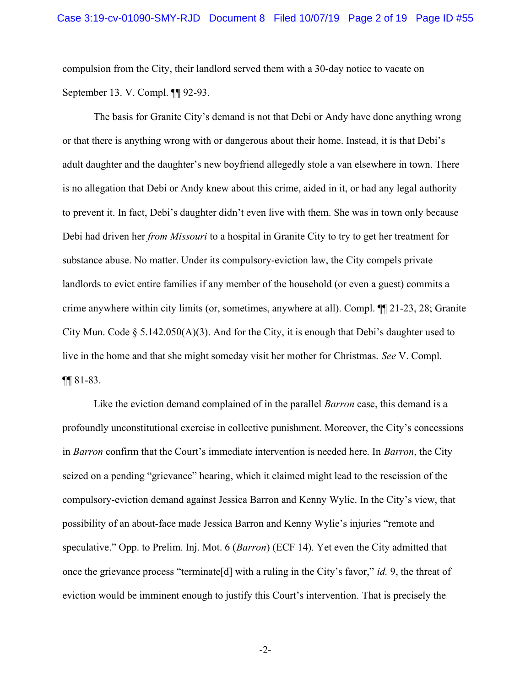compulsion from the City, their landlord served them with a 30-day notice to vacate on September 13. V. Compl. ¶¶ 92-93.

The basis for Granite City's demand is not that Debi or Andy have done anything wrong or that there is anything wrong with or dangerous about their home. Instead, it is that Debi's adult daughter and the daughter's new boyfriend allegedly stole a van elsewhere in town. There is no allegation that Debi or Andy knew about this crime, aided in it, or had any legal authority to prevent it. In fact, Debi's daughter didn't even live with them. She was in town only because Debi had driven her *from Missouri* to a hospital in Granite City to try to get her treatment for substance abuse. No matter. Under its compulsory-eviction law, the City compels private landlords to evict entire families if any member of the household (or even a guest) commits a crime anywhere within city limits (or, sometimes, anywhere at all). Compl. ¶¶ 21-23, 28; Granite City Mun. Code § 5.142.050(A)(3). And for the City, it is enough that Debi's daughter used to live in the home and that she might someday visit her mother for Christmas. See V. Compl. ¶¶ 81-83.

Like the eviction demand complained of in the parallel *Barron* case, this demand is a profoundly unconstitutional exercise in collective punishment. Moreover, the City's concessions in Barron confirm that the Court's immediate intervention is needed here. In Barron, the City seized on a pending "grievance" hearing, which it claimed might lead to the rescission of the compulsory-eviction demand against Jessica Barron and Kenny Wylie. In the City's view, that possibility of an about-face made Jessica Barron and Kenny Wylie's injuries "remote and speculative." Opp. to Prelim. Inj. Mot. 6 (*Barron*) (ECF 14). Yet even the City admitted that once the grievance process "terminate[d] with a ruling in the City's favor," id. 9, the threat of eviction would be imminent enough to justify this Court's intervention. That is precisely the

-2-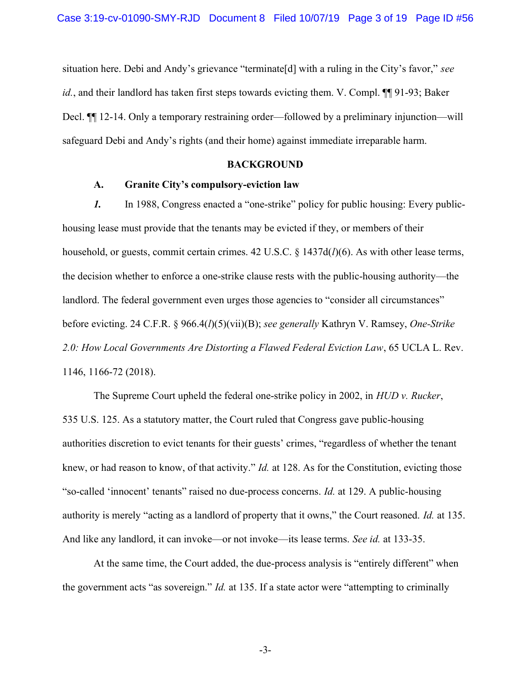situation here. Debi and Andy's grievance "terminate<sup>[d]</sup> with a ruling in the City's favor," see *id.*, and their landlord has taken first steps towards evicting them. V. Compl.  $\P\P$ 91-93; Baker Decl.  $\P$  12-14. Only a temporary restraining order—followed by a preliminary injunction—will safeguard Debi and Andy's rights (and their home) against immediate irreparable harm.

## BACKGROUND

#### A. Granite City's compulsory-eviction law

1. In 1988, Congress enacted a "one-strike" policy for public housing: Every publichousing lease must provide that the tenants may be evicted if they, or members of their household, or guests, commit certain crimes. 42 U.S.C.  $\S$  1437d( $l$ )(6). As with other lease terms, the decision whether to enforce a one-strike clause rests with the public-housing authority—the landlord. The federal government even urges those agencies to "consider all circumstances" before evicting. 24 C.F.R. § 966.4(l)(5)(vii)(B); see generally Kathryn V. Ramsey, One-Strike 2.0: How Local Governments Are Distorting a Flawed Federal Eviction Law, 65 UCLA L. Rev. 1146, 1166-72 (2018).

The Supreme Court upheld the federal one-strike policy in 2002, in HUD v. Rucker, 535 U.S. 125. As a statutory matter, the Court ruled that Congress gave public-housing authorities discretion to evict tenants for their guests' crimes, "regardless of whether the tenant knew, or had reason to know, of that activity." *Id.* at 128. As for the Constitution, evicting those "so-called 'innocent' tenants" raised no due-process concerns. Id. at 129. A public-housing authority is merely "acting as a landlord of property that it owns," the Court reasoned. Id. at 135. And like any landlord, it can invoke—or not invoke—its lease terms. See id. at 133-35.

At the same time, the Court added, the due-process analysis is "entirely different" when the government acts "as sovereign." *Id.* at 135. If a state actor were "attempting to criminally

-3-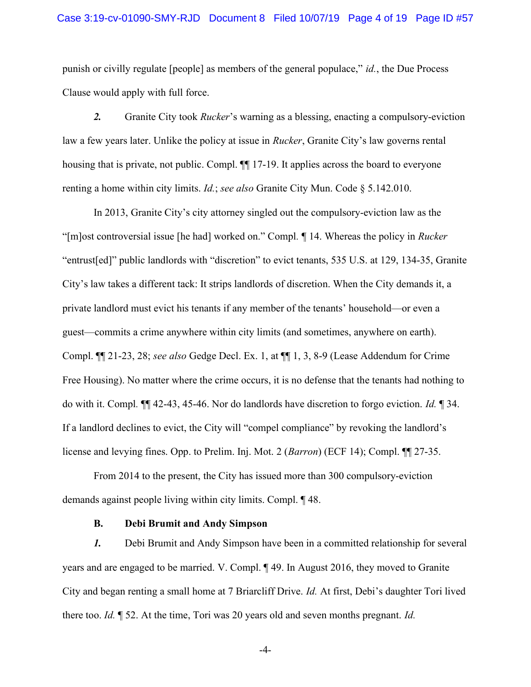punish or civilly regulate [people] as members of the general populace," id., the Due Process Clause would apply with full force.

2. Granite City took *Rucker*'s warning as a blessing, enacting a compulsory-eviction law a few years later. Unlike the policy at issue in *Rucker*, Granite City's law governs rental housing that is private, not public. Compl. ¶¶ 17-19. It applies across the board to everyone renting a home within city limits. *Id.*; see also Granite City Mun. Code  $\S 5.142.010$ .

In 2013, Granite City's city attorney singled out the compulsory-eviction law as the "[m]ost controversial issue [he had] worked on." Compl. ¶ 14. Whereas the policy in Rucker "entrust[ed]" public landlords with "discretion" to evict tenants, 535 U.S. at 129, 134-35, Granite City's law takes a different tack: It strips landlords of discretion. When the City demands it, a private landlord must evict his tenants if any member of the tenants' household—or even a guest—commits a crime anywhere within city limits (and sometimes, anywhere on earth). Compl. ¶¶ 21-23, 28; see also Gedge Decl. Ex. 1, at ¶¶ 1, 3, 8-9 (Lease Addendum for Crime Free Housing). No matter where the crime occurs, it is no defense that the tenants had nothing to do with it. Compl. ¶¶ 42-43, 45-46. Nor do landlords have discretion to forgo eviction. Id. ¶ 34. If a landlord declines to evict, the City will "compel compliance" by revoking the landlord's license and levying fines. Opp. to Prelim. Inj. Mot. 2 (Barron) (ECF 14); Compl. ¶¶ 27-35.

From 2014 to the present, the City has issued more than 300 compulsory-eviction demands against people living within city limits. Compl. ¶ 48.

### B. Debi Brumit and Andy Simpson

1. Debi Brumit and Andy Simpson have been in a committed relationship for several years and are engaged to be married. V. Compl. ¶ 49. In August 2016, they moved to Granite City and began renting a small home at 7 Briarcliff Drive. Id. At first, Debi's daughter Tori lived there too. Id.  $\parallel$  52. At the time, Tori was 20 years old and seven months pregnant. Id.

-4-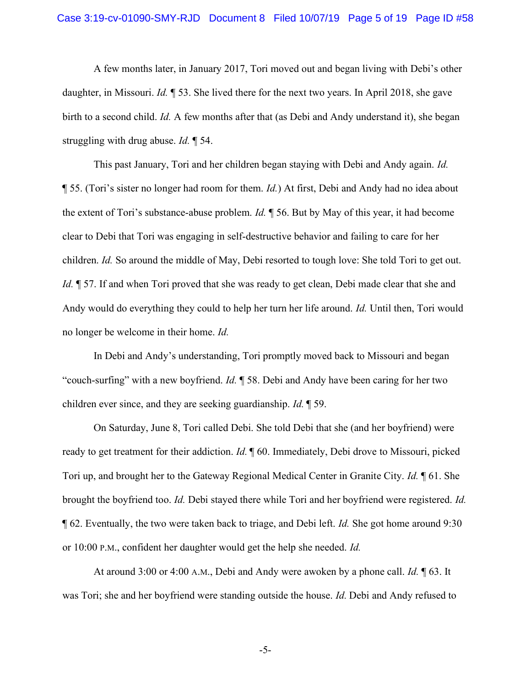A few months later, in January 2017, Tori moved out and began living with Debi's other daughter, in Missouri. Id. ¶ 53. She lived there for the next two years. In April 2018, she gave birth to a second child. Id. A few months after that (as Debi and Andy understand it), she began struggling with drug abuse. Id. ¶ 54.

This past January, Tori and her children began staying with Debi and Andy again. Id.  $\P$  55. (Tori's sister no longer had room for them. *Id.*) At first, Debi and Andy had no idea about the extent of Tori's substance-abuse problem. Id. ¶ 56. But by May of this year, it had become clear to Debi that Tori was engaging in self-destructive behavior and failing to care for her children. Id. So around the middle of May, Debi resorted to tough love: She told Tori to get out. Id.  $\parallel$  57. If and when Tori proved that she was ready to get clean, Debi made clear that she and Andy would do everything they could to help her turn her life around. Id. Until then, Tori would no longer be welcome in their home. Id.

In Debi and Andy's understanding, Tori promptly moved back to Missouri and began "couch-surfing" with a new boyfriend. Id. ¶ 58. Debi and Andy have been caring for her two children ever since, and they are seeking guardianship. Id. ¶ 59.

On Saturday, June 8, Tori called Debi. She told Debi that she (and her boyfriend) were ready to get treatment for their addiction. Id.  $\parallel$  60. Immediately, Debi drove to Missouri, picked Tori up, and brought her to the Gateway Regional Medical Center in Granite City. Id. ¶ 61. She brought the boyfriend too. Id. Debi stayed there while Tori and her boyfriend were registered. Id. ¶ 62. Eventually, the two were taken back to triage, and Debi left. Id. She got home around 9:30 or 10:00 P.M., confident her daughter would get the help she needed. Id.

At around 3:00 or 4:00 A.M., Debi and Andy were awoken by a phone call.  $Id$ .  $\P$  63. It was Tori; she and her boyfriend were standing outside the house. Id. Debi and Andy refused to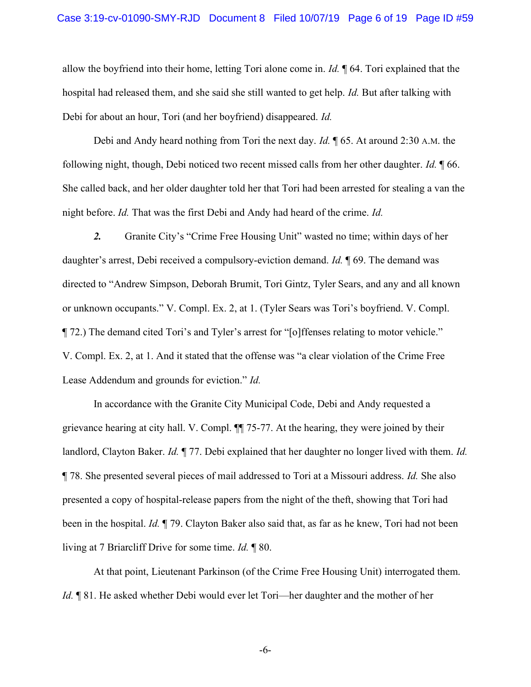allow the boyfriend into their home, letting Tori alone come in. Id.  $\parallel$  64. Tori explained that the hospital had released them, and she said she still wanted to get help. Id. But after talking with Debi for about an hour, Tori (and her boyfriend) disappeared. Id.

Debi and Andy heard nothing from Tori the next day. *Id.* 165. At around 2:30 A.M. the following night, though, Debi noticed two recent missed calls from her other daughter. Id. ¶ 66. She called back, and her older daughter told her that Tori had been arrested for stealing a van the night before. Id. That was the first Debi and Andy had heard of the crime. Id.

2. Granite City's "Crime Free Housing Unit" wasted no time; within days of her daughter's arrest, Debi received a compulsory-eviction demand. *Id.* 169. The demand was directed to "Andrew Simpson, Deborah Brumit, Tori Gintz, Tyler Sears, and any and all known or unknown occupants." V. Compl. Ex. 2, at 1. (Tyler Sears was Tori's boyfriend. V. Compl. ¶ 72.) The demand cited Tori's and Tyler's arrest for "[o]ffenses relating to motor vehicle." V. Compl. Ex. 2, at 1. And it stated that the offense was "a clear violation of the Crime Free Lease Addendum and grounds for eviction." Id.

In accordance with the Granite City Municipal Code, Debi and Andy requested a grievance hearing at city hall. V. Compl. ¶¶ 75-77. At the hearing, they were joined by their landlord, Clayton Baker. Id. ¶ 77. Debi explained that her daughter no longer lived with them. Id. ¶ 78. She presented several pieces of mail addressed to Tori at a Missouri address. Id. She also presented a copy of hospital-release papers from the night of the theft, showing that Tori had been in the hospital. Id. ¶ 79. Clayton Baker also said that, as far as he knew, Tori had not been living at 7 Briarcliff Drive for some time. Id. ¶ 80.

At that point, Lieutenant Parkinson (of the Crime Free Housing Unit) interrogated them. Id. ¶ 81. He asked whether Debi would ever let Tori—her daughter and the mother of her

-6-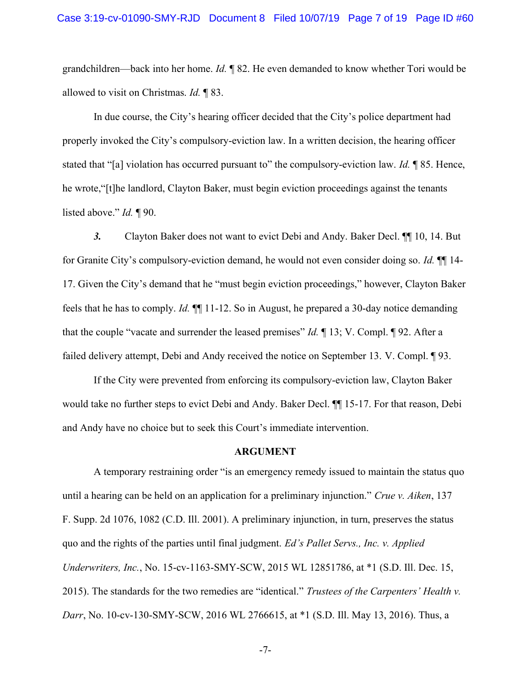grandchildren—back into her home. Id.  $\parallel$  82. He even demanded to know whether Tori would be allowed to visit on Christmas. Id. ¶ 83.

In due course, the City's hearing officer decided that the City's police department had properly invoked the City's compulsory-eviction law. In a written decision, the hearing officer stated that "[a] violation has occurred pursuant to" the compulsory-eviction law. *Id.* 185. Hence, he wrote,"[t]he landlord, Clayton Baker, must begin eviction proceedings against the tenants listed above." *Id.* ¶ 90.

3. Clayton Baker does not want to evict Debi and Andy. Baker Decl. ¶¶ 10, 14. But for Granite City's compulsory-eviction demand, he would not even consider doing so. Id.  $\P$  14-17. Given the City's demand that he "must begin eviction proceedings," however, Clayton Baker feels that he has to comply. Id. ¶¶ 11-12. So in August, he prepared a 30-day notice demanding that the couple "vacate and surrender the leased premises" *Id.*  $\P$  13; V. Compl.  $\P$  92. After a failed delivery attempt, Debi and Andy received the notice on September 13. V. Compl. ¶ 93.

If the City were prevented from enforcing its compulsory-eviction law, Clayton Baker would take no further steps to evict Debi and Andy. Baker Decl. ¶¶ 15-17. For that reason, Debi and Andy have no choice but to seek this Court's immediate intervention.

#### ARGUMENT

A temporary restraining order "is an emergency remedy issued to maintain the status quo until a hearing can be held on an application for a preliminary injunction." Crue v. Aiken, 137 F. Supp. 2d 1076, 1082 (C.D. Ill. 2001). A preliminary injunction, in turn, preserves the status quo and the rights of the parties until final judgment. Ed's Pallet Servs., Inc. v. Applied Underwriters, Inc., No. 15-cv-1163-SMY-SCW, 2015 WL 12851786, at \*1 (S.D. Ill. Dec. 15, 2015). The standards for the two remedies are "identical." Trustees of the Carpenters' Health v. Darr, No. 10-cv-130-SMY-SCW, 2016 WL 2766615, at \*1 (S.D. Ill. May 13, 2016). Thus, a

-7-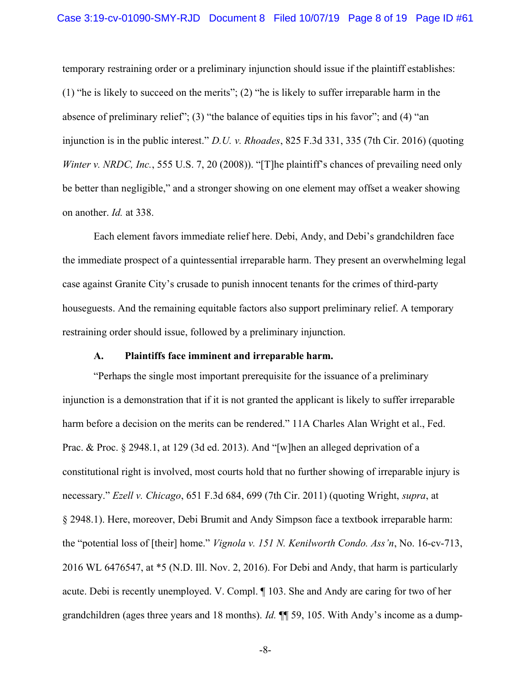temporary restraining order or a preliminary injunction should issue if the plaintiff establishes: (1) "he is likely to succeed on the merits"; (2) "he is likely to suffer irreparable harm in the absence of preliminary relief"; (3) "the balance of equities tips in his favor"; and (4) "an injunction is in the public interest." D.U. v. Rhoades, 825 F.3d 331, 335 (7th Cir. 2016) (quoting Winter v. NRDC, Inc., 555 U.S. 7, 20 (2008)). "[T]he plaintiff's chances of prevailing need only be better than negligible," and a stronger showing on one element may offset a weaker showing on another. Id. at 338.

Each element favors immediate relief here. Debi, Andy, and Debi's grandchildren face the immediate prospect of a quintessential irreparable harm. They present an overwhelming legal case against Granite City's crusade to punish innocent tenants for the crimes of third-party houseguests. And the remaining equitable factors also support preliminary relief. A temporary restraining order should issue, followed by a preliminary injunction.

#### A. Plaintiffs face imminent and irreparable harm.

"Perhaps the single most important prerequisite for the issuance of a preliminary injunction is a demonstration that if it is not granted the applicant is likely to suffer irreparable harm before a decision on the merits can be rendered." 11A Charles Alan Wright et al., Fed. Prac. & Proc. § 2948.1, at 129 (3d ed. 2013). And "[w]hen an alleged deprivation of a constitutional right is involved, most courts hold that no further showing of irreparable injury is necessary." Ezell v. Chicago, 651 F.3d 684, 699 (7th Cir. 2011) (quoting Wright, supra, at § 2948.1). Here, moreover, Debi Brumit and Andy Simpson face a textbook irreparable harm: the "potential loss of [their] home." Vignola v. 151 N. Kenilworth Condo. Ass'n, No. 16-cv-713, 2016 WL 6476547, at \*5 (N.D. Ill. Nov. 2, 2016). For Debi and Andy, that harm is particularly acute. Debi is recently unemployed. V. Compl. ¶ 103. She and Andy are caring for two of her grandchildren (ages three years and 18 months). Id.  $\P$  59, 105. With Andy's income as a dump-

-8-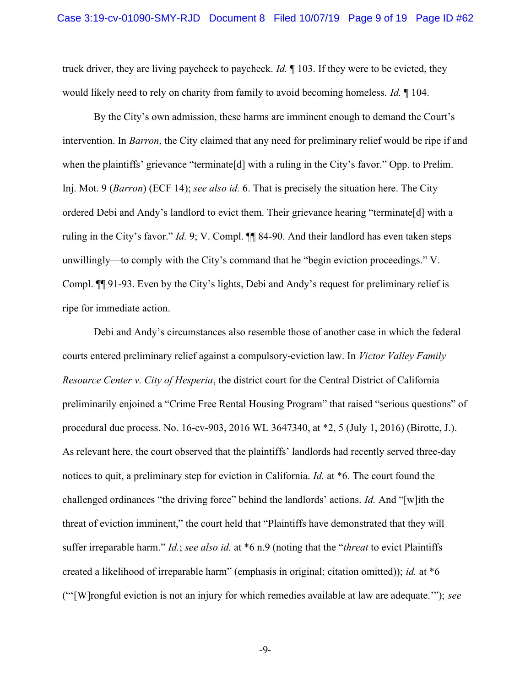truck driver, they are living paycheck to paycheck. Id.  $\parallel$  103. If they were to be evicted, they would likely need to rely on charity from family to avoid becoming homeless. *Id.* 104.

By the City's own admission, these harms are imminent enough to demand the Court's intervention. In Barron, the City claimed that any need for preliminary relief would be ripe if and when the plaintiffs' grievance "terminate<sup>[d]</sup> with a ruling in the City's favor." Opp. to Prelim. Inj. Mot. 9 (*Barron*) (ECF 14); see also id. 6. That is precisely the situation here. The City ordered Debi and Andy's landlord to evict them. Their grievance hearing "terminate[d] with a ruling in the City's favor." *Id.* 9; V. Compl.  $\P\P$  84-90. And their landlord has even taken steps unwillingly—to comply with the City's command that he "begin eviction proceedings." V. Compl. ¶¶ 91-93. Even by the City's lights, Debi and Andy's request for preliminary relief is ripe for immediate action.

Debi and Andy's circumstances also resemble those of another case in which the federal courts entered preliminary relief against a compulsory-eviction law. In Victor Valley Family Resource Center v. City of Hesperia, the district court for the Central District of California preliminarily enjoined a "Crime Free Rental Housing Program" that raised "serious questions" of procedural due process. No. 16-cv-903, 2016 WL 3647340, at \*2, 5 (July 1, 2016) (Birotte, J.). As relevant here, the court observed that the plaintiffs' landlords had recently served three-day notices to quit, a preliminary step for eviction in California. *Id.* at \*6. The court found the challenged ordinances "the driving force" behind the landlords' actions. Id. And "[w]ith the threat of eviction imminent," the court held that "Plaintiffs have demonstrated that they will suffer irreparable harm." Id.; see also id. at  $*6$  n.9 (noting that the "*threat* to evict Plaintiffs created a likelihood of irreparable harm" (emphasis in original; citation omitted)); id. at \*6 ("'[W]rongful eviction is not an injury for which remedies available at law are adequate.'"); see

-9-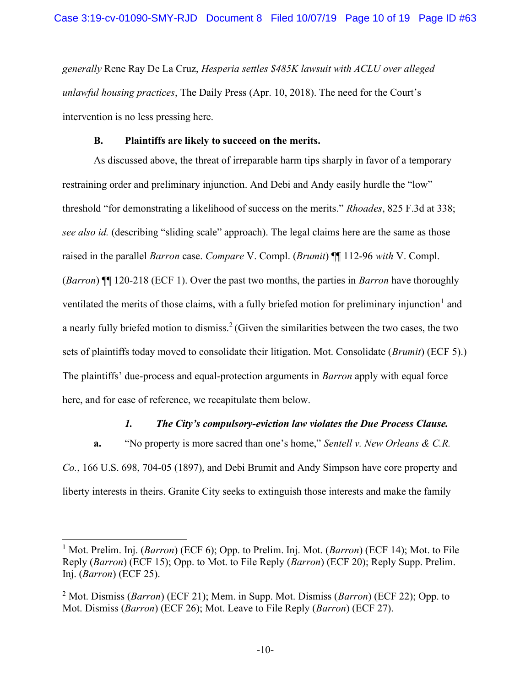generally Rene Ray De La Cruz, Hesperia settles \$485K lawsuit with ACLU over alleged unlawful housing practices, The Daily Press (Apr. 10, 2018). The need for the Court's intervention is no less pressing here.

# B. Plaintiffs are likely to succeed on the merits.

As discussed above, the threat of irreparable harm tips sharply in favor of a temporary restraining order and preliminary injunction. And Debi and Andy easily hurdle the "low" threshold "for demonstrating a likelihood of success on the merits." Rhoades, 825 F.3d at 338; see also id. (describing "sliding scale" approach). The legal claims here are the same as those raised in the parallel *Barron* case. *Compare V.* Compl. *(Brumit)*  $\P$  112-96 with V. Compl. (*Barron*)  $\P$  120-218 (ECF 1). Over the past two months, the parties in *Barron* have thoroughly ventilated the merits of those claims, with a fully briefed motion for preliminary injunction<sup>1</sup> and a nearly fully briefed motion to dismiss.<sup>2</sup> (Given the similarities between the two cases, the two sets of plaintiffs today moved to consolidate their litigation. Mot. Consolidate (*Brumit*) (ECF 5).) The plaintiffs' due-process and equal-protection arguments in Barron apply with equal force here, and for ease of reference, we recapitulate them below.

## 1. The City's compulsory-eviction law violates the Due Process Clause.

a. "No property is more sacred than one's home," Sentell v. New Orleans & C.R. Co., 166 U.S. 698, 704-05 (1897), and Debi Brumit and Andy Simpson have core property and liberty interests in theirs. Granite City seeks to extinguish those interests and make the family

<sup>&</sup>lt;sup>1</sup> Mot. Prelim. Inj. (*Barron*) (ECF 6); Opp. to Prelim. Inj. Mot. (*Barron*) (ECF 14); Mot. to File Reply (Barron) (ECF 15); Opp. to Mot. to File Reply (Barron) (ECF 20); Reply Supp. Prelim. Inj. (Barron) (ECF 25).

<sup>&</sup>lt;sup>2</sup> Mot. Dismiss (*Barron*) (ECF 21); Mem. in Supp. Mot. Dismiss (*Barron*) (ECF 22); Opp. to Mot. Dismiss (Barron) (ECF 26); Mot. Leave to File Reply (Barron) (ECF 27).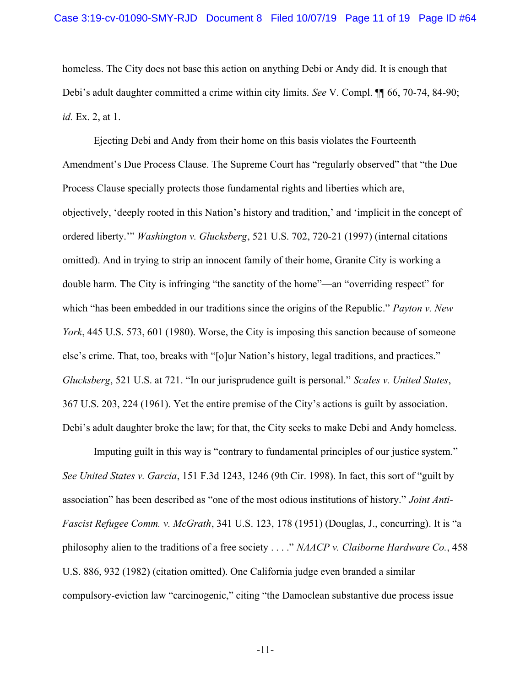homeless. The City does not base this action on anything Debi or Andy did. It is enough that Debi's adult daughter committed a crime within city limits. See V. Compl. ¶ 66, 70-74, 84-90; id. Ex. 2, at 1.

Ejecting Debi and Andy from their home on this basis violates the Fourteenth Amendment's Due Process Clause. The Supreme Court has "regularly observed" that "the Due Process Clause specially protects those fundamental rights and liberties which are, objectively, 'deeply rooted in this Nation's history and tradition,' and 'implicit in the concept of ordered liberty.'" Washington v. Glucksberg, 521 U.S. 702, 720-21 (1997) (internal citations omitted). And in trying to strip an innocent family of their home, Granite City is working a double harm. The City is infringing "the sanctity of the home"—an "overriding respect" for which "has been embedded in our traditions since the origins of the Republic." Payton v. New York, 445 U.S. 573, 601 (1980). Worse, the City is imposing this sanction because of someone else's crime. That, too, breaks with "[o]ur Nation's history, legal traditions, and practices." Glucksberg, 521 U.S. at 721. "In our jurisprudence guilt is personal." Scales v. United States, 367 U.S. 203, 224 (1961). Yet the entire premise of the City's actions is guilt by association. Debi's adult daughter broke the law; for that, the City seeks to make Debi and Andy homeless.

Imputing guilt in this way is "contrary to fundamental principles of our justice system." See United States v. Garcia, 151 F.3d 1243, 1246 (9th Cir. 1998). In fact, this sort of "guilt by association" has been described as "one of the most odious institutions of history." Joint Anti-Fascist Refugee Comm. v. McGrath, 341 U.S. 123, 178 (1951) (Douglas, J., concurring). It is "a philosophy alien to the traditions of a free society  $\ldots$ ." NAACP v. Claiborne Hardware Co., 458 U.S. 886, 932 (1982) (citation omitted). One California judge even branded a similar compulsory-eviction law "carcinogenic," citing "the Damoclean substantive due process issue

-11-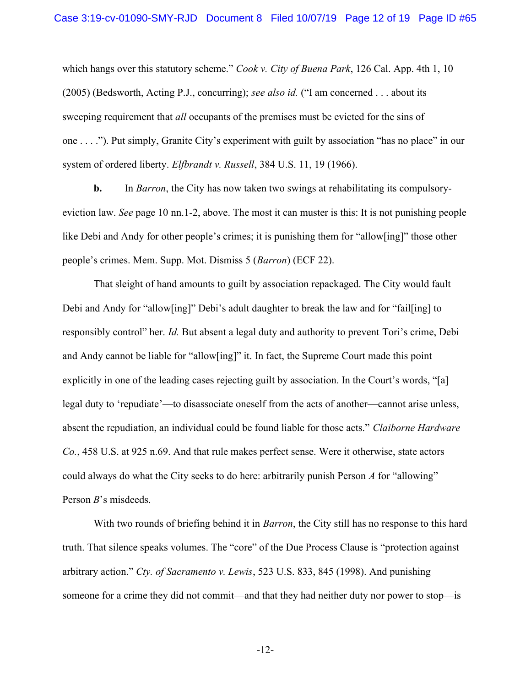which hangs over this statutory scheme." Cook v. City of Buena Park, 126 Cal. App. 4th 1, 10 (2005) (Bedsworth, Acting P.J., concurring); see also id. ("I am concerned  $\dots$  about its sweeping requirement that *all* occupants of the premises must be evicted for the sins of one . . . ."). Put simply, Granite City's experiment with guilt by association "has no place" in our system of ordered liberty. Elfbrandt v. Russell, 384 U.S. 11, 19 (1966).

b. In Barron, the City has now taken two swings at rehabilitating its compulsoryeviction law. See page 10 nn.1-2, above. The most it can muster is this: It is not punishing people like Debi and Andy for other people's crimes; it is punishing them for "allow[ing]" those other people's crimes. Mem. Supp. Mot. Dismiss 5 (Barron) (ECF 22).

That sleight of hand amounts to guilt by association repackaged. The City would fault Debi and Andy for "allow[ing]" Debi's adult daughter to break the law and for "fail[ing] to responsibly control" her. Id. But absent a legal duty and authority to prevent Tori's crime, Debi and Andy cannot be liable for "allow[ing]" it. In fact, the Supreme Court made this point explicitly in one of the leading cases rejecting guilt by association. In the Court's words, "[a] legal duty to 'repudiate'—to disassociate oneself from the acts of another—cannot arise unless, absent the repudiation, an individual could be found liable for those acts." Claiborne Hardware Co., 458 U.S. at 925 n.69. And that rule makes perfect sense. Were it otherwise, state actors could always do what the City seeks to do here: arbitrarily punish Person A for "allowing" Person B's misdeeds.

With two rounds of briefing behind it in *Barron*, the City still has no response to this hard truth. That silence speaks volumes. The "core" of the Due Process Clause is "protection against arbitrary action." Cty. of Sacramento v. Lewis, 523 U.S. 833, 845 (1998). And punishing someone for a crime they did not commit—and that they had neither duty nor power to stop—is

-12-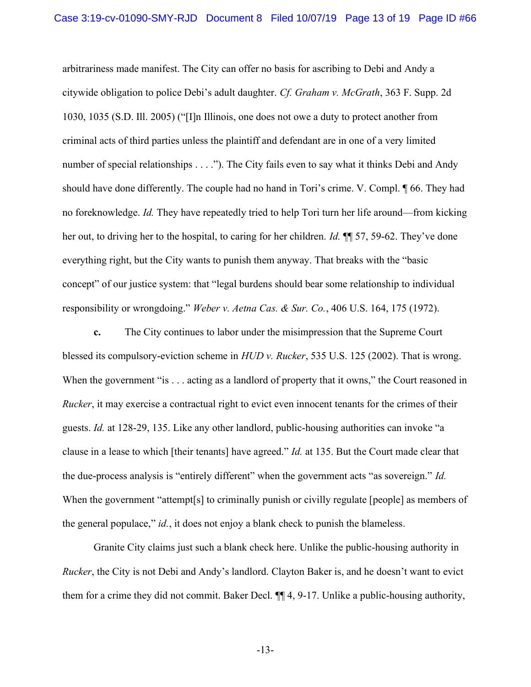arbitrariness made manifest. The City can offer no basis for ascribing to Debi and Andy a citywide obligation to police Debi's adult daughter. Cf. Graham v. McGrath, 363 F. Supp. 2d 1030, 1035 (S.D. Ill. 2005) ("[I]n Illinois, one does not owe a duty to protect another from criminal acts of third parties unless the plaintiff and defendant are in one of a very limited number of special relationships . . . ."). The City fails even to say what it thinks Debi and Andy should have done differently. The couple had no hand in Tori's crime. V. Compl. ¶ 66. They had no foreknowledge. Id. They have repeatedly tried to help Tori turn her life around—from kicking her out, to driving her to the hospital, to caring for her children. *Id.* ¶ 57, 59-62. They've done everything right, but the City wants to punish them anyway. That breaks with the "basic concept" of our justice system: that "legal burdens should bear some relationship to individual responsibility or wrongdoing." Weber v. Aetna Cas. & Sur. Co., 406 U.S. 164, 175 (1972).

c. The City continues to labor under the misimpression that the Supreme Court blessed its compulsory-eviction scheme in HUD v. Rucker, 535 U.S. 125 (2002). That is wrong. When the government "is . . . acting as a landlord of property that it owns," the Court reasoned in Rucker, it may exercise a contractual right to evict even innocent tenants for the crimes of their guests. Id. at 128-29, 135. Like any other landlord, public-housing authorities can invoke "a clause in a lease to which [their tenants] have agreed." Id. at 135. But the Court made clear that the due-process analysis is "entirely different" when the government acts "as sovereign." Id. When the government "attempt<sup>[s]</sup> to criminally punish or civilly regulate [people] as members of the general populace,"  $id$ , it does not enjoy a blank check to punish the blameless.

Granite City claims just such a blank check here. Unlike the public-housing authority in Rucker, the City is not Debi and Andy's landlord. Clayton Baker is, and he doesn't want to evict them for a crime they did not commit. Baker Decl. ¶¶ 4, 9-17. Unlike a public-housing authority,

-13-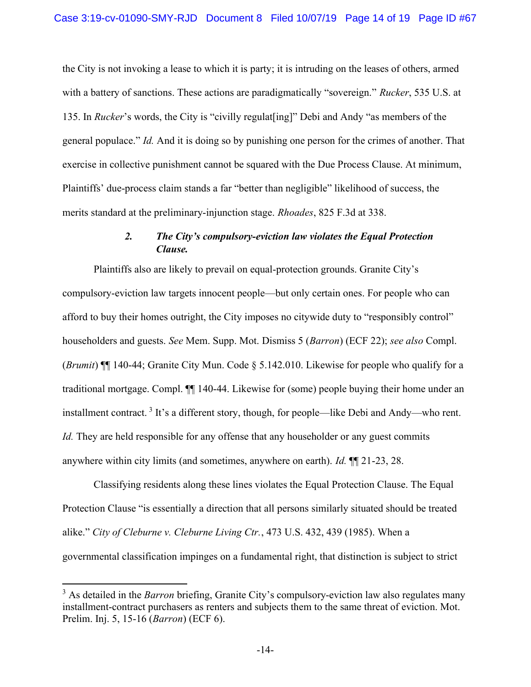the City is not invoking a lease to which it is party; it is intruding on the leases of others, armed with a battery of sanctions. These actions are paradigmatically "sovereign." Rucker, 535 U.S. at 135. In Rucker's words, the City is "civilly regulat[ing]" Debi and Andy "as members of the general populace." Id. And it is doing so by punishing one person for the crimes of another. That exercise in collective punishment cannot be squared with the Due Process Clause. At minimum, Plaintiffs' due-process claim stands a far "better than negligible" likelihood of success, the merits standard at the preliminary-injunction stage. Rhoades, 825 F.3d at 338.

# 2. The City's compulsory-eviction law violates the Equal Protection Clause.

Plaintiffs also are likely to prevail on equal-protection grounds. Granite City's compulsory-eviction law targets innocent people—but only certain ones. For people who can afford to buy their homes outright, the City imposes no citywide duty to "responsibly control" householders and guests. See Mem. Supp. Mot. Dismiss 5 (Barron) (ECF 22); see also Compl. (Brumit)  $\P$  140-44; Granite City Mun. Code  $\S$  5.142.010. Likewise for people who qualify for a traditional mortgage. Compl. ¶¶ 140-44. Likewise for (some) people buying their home under an installment contract.<sup>3</sup> It's a different story, though, for people—like Debi and Andy—who rent. Id. They are held responsible for any offense that any householder or any guest commits anywhere within city limits (and sometimes, anywhere on earth). Id. ¶¶ 21-23, 28.

 Classifying residents along these lines violates the Equal Protection Clause. The Equal Protection Clause "is essentially a direction that all persons similarly situated should be treated alike." City of Cleburne v. Cleburne Living Ctr., 473 U.S. 432, 439 (1985). When a governmental classification impinges on a fundamental right, that distinction is subject to strict

 $3$  As detailed in the *Barron* briefing, Granite City's compulsory-eviction law also regulates many installment-contract purchasers as renters and subjects them to the same threat of eviction. Mot. Prelim. Inj. 5, 15-16 (Barron) (ECF 6).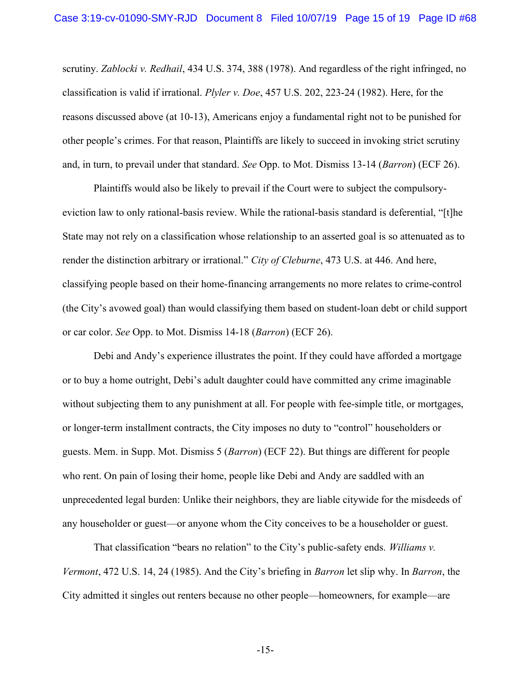scrutiny. Zablocki v. Redhail, 434 U.S. 374, 388 (1978). And regardless of the right infringed, no classification is valid if irrational. Plyler v. Doe, 457 U.S. 202, 223-24 (1982). Here, for the reasons discussed above (at 10-13), Americans enjoy a fundamental right not to be punished for other people's crimes. For that reason, Plaintiffs are likely to succeed in invoking strict scrutiny and, in turn, to prevail under that standard. See Opp. to Mot. Dismiss 13-14 (Barron) (ECF 26).

Plaintiffs would also be likely to prevail if the Court were to subject the compulsoryeviction law to only rational-basis review. While the rational-basis standard is deferential, "[t]he State may not rely on a classification whose relationship to an asserted goal is so attenuated as to render the distinction arbitrary or irrational." City of Cleburne, 473 U.S. at 446. And here, classifying people based on their home-financing arrangements no more relates to crime-control (the City's avowed goal) than would classifying them based on student-loan debt or child support or car color. See Opp. to Mot. Dismiss 14-18 (Barron) (ECF 26).

Debi and Andy's experience illustrates the point. If they could have afforded a mortgage or to buy a home outright, Debi's adult daughter could have committed any crime imaginable without subjecting them to any punishment at all. For people with fee-simple title, or mortgages, or longer-term installment contracts, the City imposes no duty to "control" householders or guests. Mem. in Supp. Mot. Dismiss 5 (Barron) (ECF 22). But things are different for people who rent. On pain of losing their home, people like Debi and Andy are saddled with an unprecedented legal burden: Unlike their neighbors, they are liable citywide for the misdeeds of any householder or guest—or anyone whom the City conceives to be a householder or guest.

That classification "bears no relation" to the City's public-safety ends. Williams v. Vermont, 472 U.S. 14, 24 (1985). And the City's briefing in Barron let slip why. In Barron, the City admitted it singles out renters because no other people—homeowners, for example—are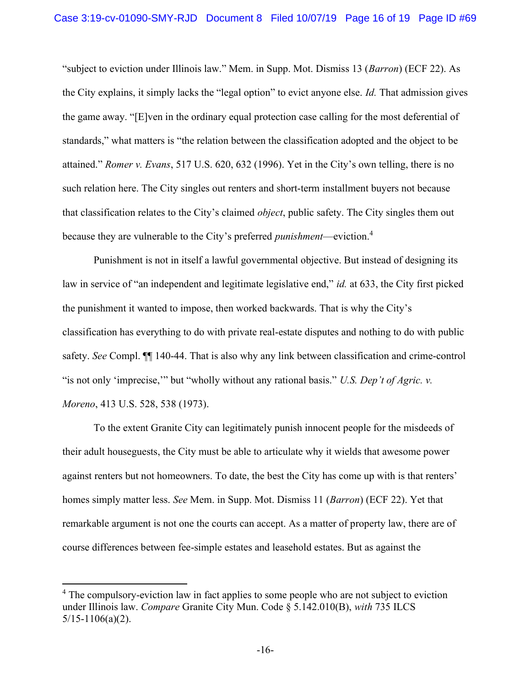"subject to eviction under Illinois law." Mem. in Supp. Mot. Dismiss 13 (Barron) (ECF 22). As the City explains, it simply lacks the "legal option" to evict anyone else. Id. That admission gives the game away. "[E]ven in the ordinary equal protection case calling for the most deferential of standards," what matters is "the relation between the classification adopted and the object to be attained." Romer v. Evans, 517 U.S. 620, 632 (1996). Yet in the City's own telling, there is no such relation here. The City singles out renters and short-term installment buyers not because that classification relates to the City's claimed object, public safety. The City singles them out because they are vulnerable to the City's preferred *punishment*—eviction.<sup>4</sup>

Punishment is not in itself a lawful governmental objective. But instead of designing its law in service of "an independent and legitimate legislative end," *id.* at 633, the City first picked the punishment it wanted to impose, then worked backwards. That is why the City's classification has everything to do with private real-estate disputes and nothing to do with public safety. See Compl. ¶¶ 140-44. That is also why any link between classification and crime-control "is not only 'imprecise," but "wholly without any rational basis." U.S. Dep't of Agric. v. Moreno, 413 U.S. 528, 538 (1973).

To the extent Granite City can legitimately punish innocent people for the misdeeds of their adult houseguests, the City must be able to articulate why it wields that awesome power against renters but not homeowners. To date, the best the City has come up with is that renters' homes simply matter less. See Mem. in Supp. Mot. Dismiss 11 (*Barron*) (ECF 22). Yet that remarkable argument is not one the courts can accept. As a matter of property law, there are of course differences between fee-simple estates and leasehold estates. But as against the

<sup>&</sup>lt;sup>4</sup> The compulsory-eviction law in fact applies to some people who are not subject to eviction under Illinois law. Compare Granite City Mun. Code § 5.142.010(B), with 735 ILCS  $5/15-1106(a)(2)$ .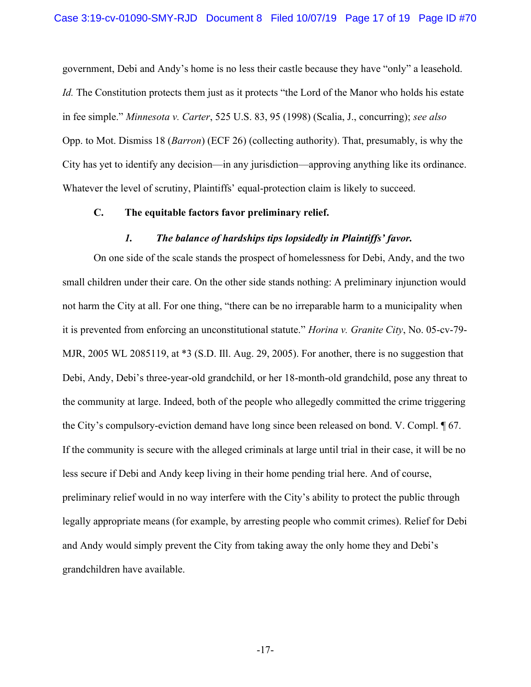government, Debi and Andy's home is no less their castle because they have "only" a leasehold. Id. The Constitution protects them just as it protects "the Lord of the Manor who holds his estate in fee simple." Minnesota v. Carter, 525 U.S. 83, 95 (1998) (Scalia, J., concurring); see also Opp. to Mot. Dismiss 18 (Barron) (ECF 26) (collecting authority). That, presumably, is why the City has yet to identify any decision—in any jurisdiction—approving anything like its ordinance. Whatever the level of scrutiny, Plaintiffs' equal-protection claim is likely to succeed.

### C. The equitable factors favor preliminary relief.

### 1. The balance of hardships tips lopsidedly in Plaintiffs' favor.

On one side of the scale stands the prospect of homelessness for Debi, Andy, and the two small children under their care. On the other side stands nothing: A preliminary injunction would not harm the City at all. For one thing, "there can be no irreparable harm to a municipality when it is prevented from enforcing an unconstitutional statute." Horina v. Granite City, No. 05-cv-79- MJR, 2005 WL 2085119, at \*3 (S.D. Ill. Aug. 29, 2005). For another, there is no suggestion that Debi, Andy, Debi's three-year-old grandchild, or her 18-month-old grandchild, pose any threat to the community at large. Indeed, both of the people who allegedly committed the crime triggering the City's compulsory-eviction demand have long since been released on bond. V. Compl. ¶ 67. If the community is secure with the alleged criminals at large until trial in their case, it will be no less secure if Debi and Andy keep living in their home pending trial here. And of course, preliminary relief would in no way interfere with the City's ability to protect the public through legally appropriate means (for example, by arresting people who commit crimes). Relief for Debi and Andy would simply prevent the City from taking away the only home they and Debi's grandchildren have available.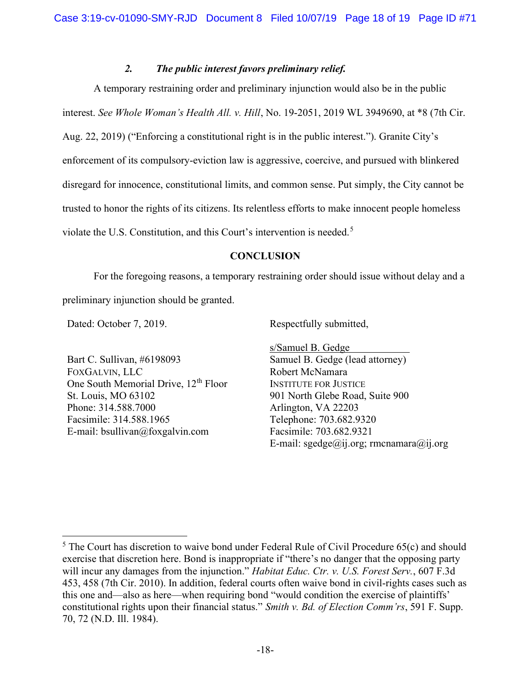## 2. The public interest favors preliminary relief.

A temporary restraining order and preliminary injunction would also be in the public interest. See Whole Woman's Health All. v. Hill, No. 19-2051, 2019 WL 3949690, at \*8 (7th Cir. Aug. 22, 2019) ("Enforcing a constitutional right is in the public interest."). Granite City's enforcement of its compulsory-eviction law is aggressive, coercive, and pursued with blinkered disregard for innocence, constitutional limits, and common sense. Put simply, the City cannot be trusted to honor the rights of its citizens. Its relentless efforts to make innocent people homeless violate the U.S. Constitution, and this Court's intervention is needed.<sup>5</sup>

## **CONCLUSION**

For the foregoing reasons, a temporary restraining order should issue without delay and a

preliminary injunction should be granted.

Dated: October 7, 2019.

Bart C. Sullivan, #6198093 FOXGALVIN, LLC One South Memorial Drive, 12<sup>th</sup> Floor St. Louis, MO 63102 Phone: 314.588.7000 Facsimile: 314.588.1965 E-mail: bsullivan@foxgalvin.com

Respectfully submitted,

s/Samuel B. Gedge Samuel B. Gedge (lead attorney) Robert McNamara INSTITUTE FOR JUSTICE 901 North Glebe Road, Suite 900 Arlington, VA 22203 Telephone: 703.682.9320 Facsimile: 703.682.9321 E-mail: sgedge@ij.org; rmcnamara@ij.org

<sup>&</sup>lt;sup>5</sup> The Court has discretion to waive bond under Federal Rule of Civil Procedure 65(c) and should exercise that discretion here. Bond is inappropriate if "there's no danger that the opposing party will incur any damages from the injunction." *Habitat Educ. Ctr. v. U.S. Forest Serv.*, 607 F.3d 453, 458 (7th Cir. 2010). In addition, federal courts often waive bond in civil-rights cases such as this one and—also as here—when requiring bond "would condition the exercise of plaintiffs' constitutional rights upon their financial status." Smith v. Bd. of Election Comm'rs, 591 F. Supp. 70, 72 (N.D. Ill. 1984).